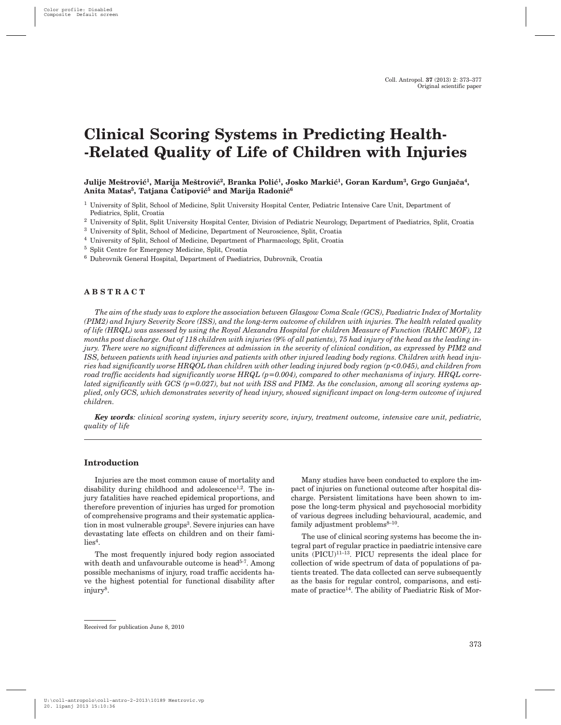# **Clinical Scoring Systems in Predicting Health- -Related Quality of Life of Children with Injuries**

## Julije Meštrović<sup>1</sup>, Marija Meštrović<sup>2</sup>, Branka Polić<sup>1</sup>, Josko Markić<sup>1</sup>, Goran Kardum<sup>3</sup>, Grgo Gunjača<sup>4</sup>, Anita Matas<sup>5</sup>, Tatjana Ćatipović<sup>5</sup> and Marija Radonić<sup>6</sup>

<sup>1</sup> University of Split, School of Medicine, Split University Hospital Center, Pediatric Intensive Care Unit, Department of Pediatrics, Split, Croatia

- <sup>2</sup> University of Split, Split University Hospital Center, Division of Pediatric Neurology, Department of Paediatrics, Split, Croatia
- <sup>3</sup> University of Split, School of Medicine, Department of Neuroscience, Split, Croatia
- <sup>4</sup> University of Split, School of Medicine, Department of Pharmacology, Split, Croatia
- <sup>5</sup> Split Centre for Emergency Medicine, Split, Croatia
- <sup>6</sup> Dubrovnik General Hospital, Department of Paediatrics, Dubrovnik, Croatia

#### **ABSTRACT**

*The aim of the study was to explore the association between Glasgow Coma Scale (GCS), Paediatric Index of Mortality (PIM2) and Injury Severity Score (ISS), and the long-term outcome of children with injuries. The health related quality of life (HRQL) was assessed by using the Royal Alexandra Hospital for children Measure of Function (RAHC MOF), 12 months post discharge. Out of 118 children with injuries (9% of all patients), 75 had injury of the head as the leading injury. There were no significant differences at admission in the severity of clinical condition, as expressed by PIM2 and ISS, between patients with head injuries and patients with other injured leading body regions. Children with head injuries had significantly worse HRQOL than children with other leading injured body region (p<0.045), and children from road traffic accidents had significantly worse HRQL (p=0.004), compared to other mechanisms of injury. HRQL correlated significantly with GCS (p=0.027), but not with ISS and PIM2. As the conclusion, among all scoring systems applied, only GCS, which demonstrates severity of head injury, showed significant impact on long-term outcome of injured children.*

*Key words: clinical scoring system, injury severity score, injury, treatment outcome, intensive care unit, pediatric, quality of life*

#### **Introduction**

Injuries are the most common cause of mortality and disability during childhood and adolescence<sup>1,2</sup>. The injury fatalities have reached epidemical proportions, and therefore prevention of injuries has urged for promotion of comprehensive programs and their systematic application in most vulnerable groups<sup>3</sup>. Severe injuries can have devastating late effects on children and on their fami $lies<sup>4</sup>.$ 

The most frequently injured body region associated with death and unfavourable outcome is head $5-7$ . Among possible mechanisms of injury, road traffic accidents have the highest potential for functional disability after injury8.

Many studies have been conducted to explore the impact of injuries on functional outcome after hospital discharge. Persistent limitations have been shown to impose the long-term physical and psychosocial morbidity of various degrees including behavioural, academic, and family adjustment problems $8-10$ .

The use of clinical scoring systems has become the integral part of regular practice in paediatric intensive care units  $(PICU)^{11-13}$ . PICU represents the ideal place for collection of wide spectrum of data of populations of patients treated. The data collected can serve subsequently as the basis for regular control, comparisons, and estimate of practice<sup>14</sup>. The ability of Paediatric Risk of Mor-

Received for publication June 8, 2010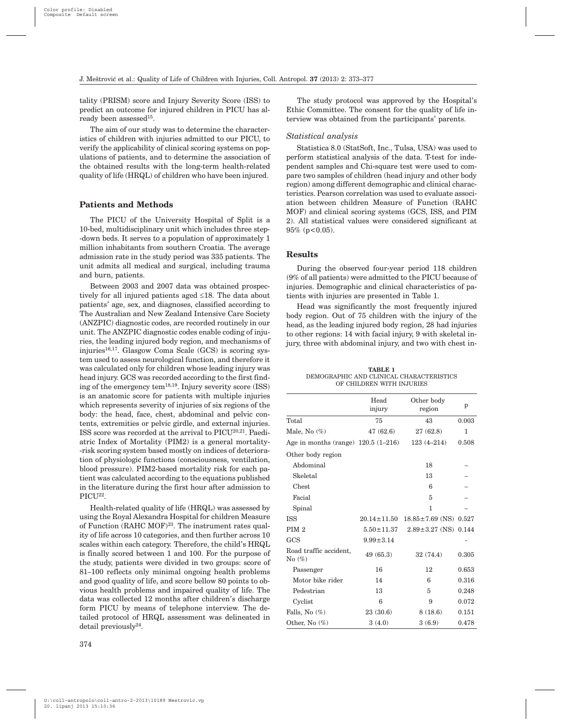tality (PRISM) score and Injury Severity Score (ISS) to predict an outcome for injured children in PICU has already been assessed $15$ .

The aim of our study was to determine the characteristics of children with injuries admitted to our PICU, to verify the applicability of clinical scoring systems on populations of patients, and to determine the association of the obtained results with the long-term health-related quality of life (HRQL) of children who have been injured.

#### **Patients and Methods**

The PICU of the University Hospital of Split is a 10-bed, multidisciplinary unit which includes three step- -down beds. It serves to a population of approximately 1 million inhabitants from southern Croatia. The average admission rate in the study period was 335 patients. The unit admits all medical and surgical, including trauma and burn, patients.

Between 2003 and 2007 data was obtained prospectively for all injured patients aged  $\leq 18$ . The data about patients' age, sex, and diagnoses, classified according to The Australian and New Zealand Intensive Care Society (ANZPIC) diagnostic codes, are recorded routinely in our unit. The ANZPIC diagnostic codes enable coding of injuries, the leading injured body region, and mechanisms of injuries<sup>16,17</sup>. Glasgow Coma Scale (GCS) is scoring system used to assess neurological function, and therefore it was calculated only for children whose leading injury was head injury. GCS was recorded according to the first finding of the emergency tem<sup>18,19</sup>. Injury severity score  $(ISS)$ is an anatomic score for patients with multiple injuries which represents severity of injuries of six regions of the body: the head, face, chest, abdominal and pelvic contents, extremities or pelvic girdle, and external injuries. ISS score was recorded at the arrival to PICU20,21. Paediatric Index of Mortality (PIM2) is a general mortality- -risk scoring system based mostly on indices of deterioration of physiologic functions (consciousness, ventilation, blood pressure). PIM2-based mortality risk for each patient was calculated according to the equations published in the literature during the first hour after admission to PICU<sup>22</sup>.

Health-related quality of life (HRQL) was assessed by using the Royal Alexandra Hospital for children Measure of Function  $(RAHC MOF)^{23}$ . The instrument rates quality of life across 10 categories, and then further across 10 scales within each category. Therefore, the child's HRQL is finally scored between 1 and 100. For the purpose of the study, patients were divided in two groups: score of 81–100 reflects only minimal ongoing health problems and good quality of life, and score bellow 80 points to obvious health problems and impaired quality of life. The data was collected 12 months after children's discharge form PICU by means of telephone interview. The detailed protocol of HRQL assessment was delineated in detail previously24.

The study protocol was approved by the Hospital's Ethic Committee. The consent for the quality of life interview was obtained from the participants' parents.

## *Statistical analysis*

Statistica 8.0 (StatSoft, Inc., Tulsa, USA) was used to perform statistical analysis of the data. T-test for independent samples and Chi-square test were used to compare two samples of children (head injury and other body region) among different demographic and clinical characteristics. Pearson correlation was used to evaluate association between children Measure of Function (RAHC MOF) and clinical scoring systems (GCS, ISS, and PIM 2). All statistical values were considered significant at 95% (p<0.05).

#### **Results**

During the observed four-year period 118 children (9% of all patients) were admitted to the PICU because of injuries. Demographic and clinical characteristics of patients with injuries are presented in Table 1.

Head was significantly the most frequently injured body region. Out of 75 children with the injury of the head, as the leading injured body region, 28 had injuries to other regions: 14 with facial injury, 9 with skeletal injury, three with abdominal injury, and two with chest in-

| TABLE 1                                  |
|------------------------------------------|
| DEMOGRAPHIC AND CLINICAL CHARACTERISTICS |
| OF CHILDREN WITH INJURIES                |

|                                                 | Head<br>injury   | Other body<br>region                            | p            |
|-------------------------------------------------|------------------|-------------------------------------------------|--------------|
| Total                                           | 75               | 43                                              | 0.003        |
| Male, No $(\%)$                                 | 47(62.6)         | 27(62.8)                                        | $\mathbf{1}$ |
| Age in months (range) 120.5 (1–216) 123 (4–214) |                  |                                                 | 0.508        |
| Other body region                               |                  |                                                 |              |
| Abdominal                                       |                  | 18                                              |              |
| Skeletal                                        |                  | 13                                              |              |
| Chest                                           |                  | 6                                               |              |
| Facial                                          |                  | 5                                               |              |
| Spinal                                          |                  | $\mathbf{1}$                                    |              |
| ISS                                             |                  | $20.14 \pm 11.50$ $18.85 \pm 7.69$ (NS) $0.527$ |              |
| PIM <sub>2</sub>                                | $5.50 \pm 11.37$ | $2.89 \pm 3.27$ (NS) 0.144                      |              |
| GCS                                             | $9.99 \pm 3.14$  |                                                 |              |
| Road traffic accident,<br>No $(\%)$             | 49(65.3)         | 32(74.4)                                        | 0.305        |
| Passenger                                       | 16               | 12                                              | 0.653        |
| Motor bike rider                                | 14               | 6                                               | 0.316        |
| Pedestrian                                      | 13               | 5                                               | 0.248        |
| Cyclist                                         | 6                | 9                                               | 0.072        |
| Falls, No (%)                                   | 23(30.6)         | 8(18.6)                                         | 0.151        |
| Other, No $(\%)$                                | 3(4.0)           | 3(6.9)                                          | 0.478        |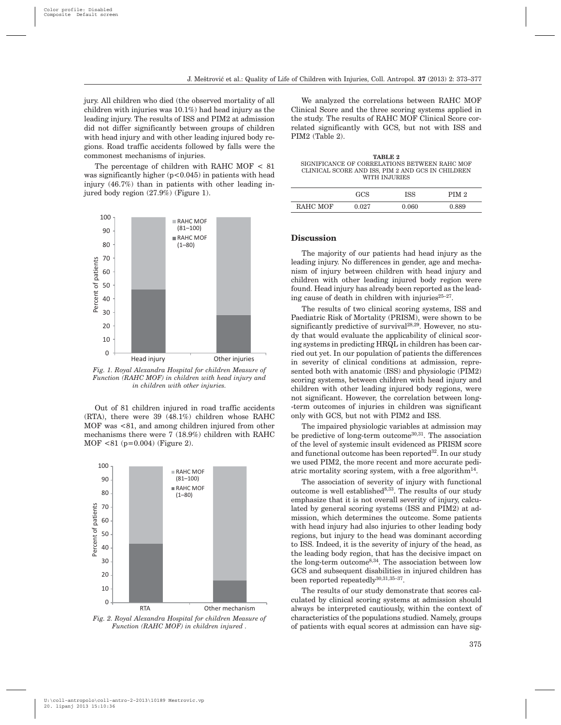jury. All children who died (the observed mortality of all children with injuries was 10.1%) had head injury as the leading injury. The results of ISS and PIM2 at admission did not differ significantly between groups of children with head injury and with other leading injured body regions. Road traffic accidents followed by falls were the commonest mechanisms of injuries.

The percentage of children with RAHC MOF < 81 was significantly higher  $(p<0.045)$  in patients with head injury (46.7%) than in patients with other leading injured body region (27.9%) (Figure 1).



*Fig. 1. Royal Alexandra Hospital for children Measure of Function (RAHC MOF) in children with head injury and in children with other injuries.*

Out of 81 children injured in road traffic accidents (RTA), there were 39 (48.1%) children whose RAHC MOF was <81, and among children injured from other mechanisms there were 7 (18.9%) children with RAHC MOF <81 (p=0.004) (Figure 2).



*Fig. 2. Royal Alexandra Hospital for children Measure of Function (RAHC MOF) in children injured .*

We analyzed the correlations between RAHC MOF Clinical Score and the three scoring systems applied in the study. The results of RAHC MOF Clinical Score correlated significantly with GCS, but not with ISS and PIM2 (Table 2).

**TABLE 2** SIGNIFICANCE OF CORRELATIONS BETWEEN RAHC MOF CLINICAL SCORE AND ISS, PIM 2 AND GCS IN CHILDREN WITH INJURIES

|          | GCS   | ISS   | PIM <sub>2</sub> |
|----------|-------|-------|------------------|
| RAHC MOF | 0.027 | 0.060 | 0.889            |

#### **Discussion**

The majority of our patients had head injury as the leading injury. No differences in gender, age and mechanism of injury between children with head injury and children with other leading injured body region were found. Head injury has already been reported as the leading cause of death in children with injuries $25-27$ .

The results of two clinical scoring systems, ISS and Paediatric Risk of Mortality (PRISM), were shown to be significantly predictive of survival<sup>28,29</sup>. However, no study that would evaluate the applicability of clinical scoring systems in predicting HRQL in children has been carried out yet. In our population of patients the differences in severity of clinical conditions at admission, represented both with anatomic (ISS) and physiologic (PIM2) scoring systems, between children with head injury and children with other leading injured body regions, were not significant. However, the correlation between long- -term outcomes of injuries in children was significant only with GCS, but not with PIM2 and ISS.

The impaired physiologic variables at admission may be predictive of long-term outcome $30,31$ . The association of the level of systemic insult evidenced as PRISM score and functional outcome has been reported<sup>32</sup>. In our study we used PIM2, the more recent and more accurate pediatric mortality scoring system, with a free algorithm<sup>14</sup>.

The association of severity of injury with functional outcome is well established<sup>8,33</sup>. The results of our study emphasize that it is not overall severity of injury, calculated by general scoring systems (ISS and PIM2) at admission, which determines the outcome. Some patients with head injury had also injuries to other leading body regions, but injury to the head was dominant according to ISS. Indeed, it is the severity of injury of the head, as the leading body region, that has the decisive impact on the long-term outcome8,34. The association between low GCS and subsequent disabilities in injured children has been reported repeatedly $30,31,35-37$ .

The results of our study demonstrate that scores calculated by clinical scoring systems at admission should always be interpreted cautiously, within the context of characteristics of the populations studied. Namely, groups of patients with equal scores at admission can have sig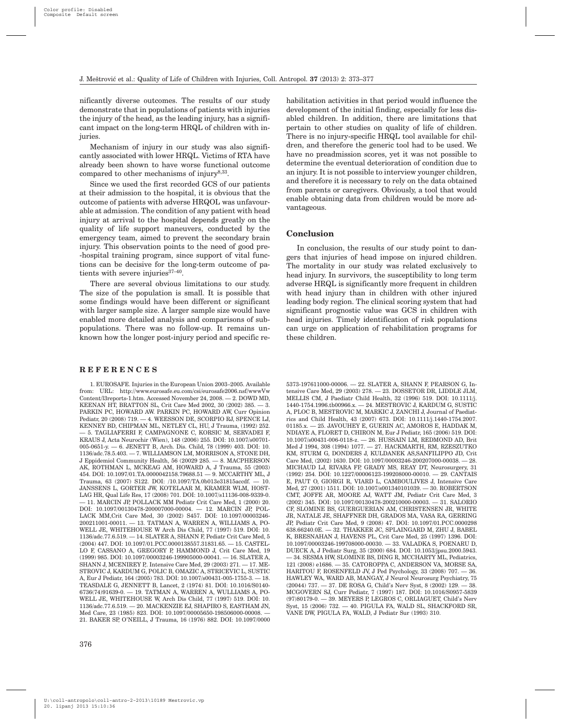nificantly diverse outcomes. The results of our study demonstrate that in populations of patients with injuries the injury of the head, as the leading injury, has a significant impact on the long-term HRQL of children with injuries.

Mechanism of injury in our study was also significantly associated with lower HRQL. Victims of RTA have already been shown to have worse functional outcome compared to other mechanisms of injury<sup>8,33</sup>.

Since we used the first recorded GCS of our patients at their admission to the hospital, it is obvious that the outcome of patients with adverse HRQOL was unfavourable at admission. The condition of any patient with head injury at arrival to the hospital depends greatly on the quality of life support maneuvers, conducted by the emergency team, aimed to prevent the secondary brain injury. This observation points to the need of good pre- -hospital training program, since support of vital functions can be decisive for the long-term outcome of patients with severe injuries $37-40$ .

There are several obvious limitations to our study. The size of the population is small. It is possible that some findings would have been different or significant with larger sample size. A larger sample size would have enabled more detailed analysis and comparisons of subpopulations. There was no follow-up. It remains unknown how the longer post-injury period and specific re-

#### **REFERENCES**

1. EUROSAFE. Injuries in the European Union 2003–2005. Available from: URL: http://www.eurosafe.eu.com/csi/eurosafe2006.nsf/wwwVw Content/l3reports-1.htm. Accessed November 24, 2008. — 2. DOWD MD, KEENAN HT, BRATTON SL, Crit Care Med 2002, 30 (2002) 385. — 3. PARKIN PC, HOWARD AW. PARKIN PC, HOWARD AW, Curr Opinion Pediatr, 20 (2008) 719. — 4. WEESSON DE, SCORPIO RJ, SPENCE LJ, KENNEY BD, CHIPMAN ML, NETLEY CL, HU, J Trauma, (1992) 252. — 5. TAGLIAFERRI F, CAMPAGNONE C, KORSIC M, SERVADEI F, KRAUS J, Acta Neurochir (Wien), 148 (2006) 255. DOI: 10.1007/s00701- 005-0651-y. — 6. JENETT B, Arch. Dis. Child, 78 (1999) 403. DOI: 10. 1136/adc.78.5.403. — 7. WILLIAMSON LM, MORRISON A, STONE DH, J Eppidemiol Community Health, 56 (20029 285. — 8. MACPHERSON AK, ROTHMAN L, MCKEAG AM, HOWARD A, J Trauma, 55 (2003) 454. DOI: 10.1097/01.TA.0000042158.79688.51 — 9. MCCARTHY ML, J Trauma, 63 (2007) S122. DOI: /10.1097/TA.0b013e31815accdf. — 10. JANSSENS L, GORTER JW, KOTELAAR M, KRAMER WLM, HOST-LAG HR, Qual Life Res, 17 (2008) 701. DOI: 10.1007/s11136-008-9339-0. — 11. MARCIN JP, POLLACK MM Pediatr Crit Care Med, 1 (2000) 20. DOI: 10.1097/00130478-200007000-00004. — 12. MARCIN JP, POL-LACK MM,Crit Care Med, 30 (2002) S457. DOI: 10.1097/00003246- 200211001-00011. — 13. TATMAN A, WARREN A, WILLIAMS A, PO-WELL JE, WHITEHOUSE W Arch Dis Child, 77 (1997) 519. DOI: 10. 1136/adc.77.6.519. — 14. SLATER A, SHANN F, Pediatr Crit Care Med, 5 (2004) 447. DOI: 10.1097/01.PCC.0000138557.31831.65. — 15. CASTEL-LO F, CASSANO A, GREGORY P, HAMMOND J, Crit Care Med, 19  $(1999)$  985. DOI: 10.1097/00003246-199905000-00041. - 16. SLATER A SHANN J, MCENIREY P,. Intensive Care Med, 29 (2003) 271. — 17. ME-STROVIC J, KARDUM G, POLIC B, OMAZIC A, STRICEVIC L, SUSTIC A, Eur J Pediatr, 164 (2005) 783. DOI: 10.1007/s00431-005-1755-3. — 18. TEASDALE G, JENNETT B, Lancet, 2 (1974) 81. DOI: 10.1016/S0140- 6736(74)91639-0. — 19. TATMAN A, WARREN A, WULLIAMS A, PO-WELL JE, WHITEHOUSE W, Arch Dis Child, 77 (1997) 519. DOI: 10. 1136/adc.77.6.519. — 20. MACKENZIE EJ, SHAPIRO S, EASTHAM JN, Med Care, 23 (1985) 823. DOI: 10.1097/00005650-198506000-00008. — 21. BAKER SP, O'NEILL, J Trauma, 16 (1976) 882. DOI: 10.1097/0000 habilitation activities in that period would influence the development of the initial finding, especially for less disabled children. In addition, there are limitations that pertain to other studies on quality of life of children. There is no injury-specific HRQL tool available for children, and therefore the generic tool had to be used. We have no preadmission scores, yet it was not possible to determine the eventual deterioration of condition due to an injury. It is not possible to interview younger children, and therefore it is necessary to rely on the data obtained from parents or caregivers. Obviously, a tool that would enable obtaining data from children would be more advantageous.

#### **Conclusion**

In conclusion, the results of our study point to dangers that injuries of head impose on injured children. The mortality in our study was related exclusively to head injury. In survivors, the susceptibility to long term adverse HRQL is significantly more frequent in children with head injury than in children with other injured leading body region. The clinical scoring system that had significant prognostic value was GCS in children with head injuries. Timely identification of risk populations can urge on application of rehabilitation programs for these children.

5373-197611000-00006. — 22. SLATER A, SHANN F, PEARSON G, Intensive Care Med, 29 (2003) 278. — 23. DOSSETOR DR, LIDDLE JLM, MELLIS CM, J Paediatr Child Health, 32 (1996) 519. DOI: 10.1111/j. 1440-1754.1996.tb00966.x. — 24. MESTROVIC J, KARDUM G, SUSTIC A, PLOC B, MESTROVIC M, MARKIC J, ZANCHI J, Journal of Paediatrics and Child Health, 43 (2007) 673. DOI: 10.1111/j.1440-1754.2007. 01185.x. — 25. JAVOUHEY E, GUERIN AC, AMOROS E, HADDAK M, NDIAYE A, FLORET D, CHIRON M, Eur J Pediatr, 165 (2006) 519. DOI: 10.1007/s00431-006-0118-z. — 26. HUSSAIN LM, REDMOND AD, Brit Med J 1994, 308 (1994) 1077. — 27. HACKMARTH, RM, RZESZUTKO KM, STURM G, DONDERS J, KULDANEK AS,SANFILIPPO JD, Crit Care Med, (2002) 1630. DOI: 10.1097/00003246-200207000-00038. — 28. MICHAUD LJ, RIVARA FP, GRADY MS, REAY DT, Neurosurgery, 31 (1992) 254. DOI: 10.1227/00006123-199208000-00010. — 29. CANTAIS E, PAUT O, GIORGI R, VIARD L, CAMBOULIVES J, Intensive Care Med. 27 (2001) 1511. DOI: 10.1007/s001340101039. - 30. ROBERTSON CMT, JOFFE AR, MOORE AJ, WATT JM, Pediatr Crit Care Med, 3 (2002) 345. DOI: 10.1097/00130478-200210000-00003. — 31. SALORIO CF, SLOMINE BS, GUERGUERIAN AM, CHRISTENSEN JR, WHITE JR, NATALE JE, SHAFFNER DH, GRADOS MA, VASA RA, GERRING JP, Pediatr Crit Care Med, 9 (2008) 47. DOI: 10.1097/01.PCC.0000298 638.66240.0E. — 32. THAKKER JC, SPLAINGARD M, ZHU J, BABEL K, BRESNAHAN J, HAVENS PL, Crit Care Med, 25 (1997) 1396. DOI: 10.1097/00003246-199708000-00030. — 33. VALADKA S, POENARU D, DUECK A, J Pediatr Surg, 35 (2000) 684. DOI: 10.1053/jpsu.2000.5943. — 34. SESMA HW, SLOMINE BS, DING R, MCCHARTY ML, Pediatrics, 121 (2008) e1686. — 35. CATOROPPA C, ANDERSON VA, MORSE SA, HARITOU F, ROSENFELD JV, J Ped Psychology, 33 (2008) 707. — 36. HAWLEY WA, WARD AB, MANGAY, J Neurol Neurosurg Psychiatry, 75 (20044) 737. — 37. DE ROSA G, Child's Nerv Syst, 8 (2002) 129. — 38. MCGOVERN SJ, Curr Pediatr, 7 (1997) 187. DOI: 10.1016/S0957-5839 (97)80179-0. — 39. MEYERS P, LEGROS C, ORLIAGUET, Child's Nerv Syst, 15 (2006) 732. — 40. PIGULA FA, WALD SL, SHACKFORD SR, VANE DW, PIGULA FA, WALD, J Pediatr Sur (1993) 310.